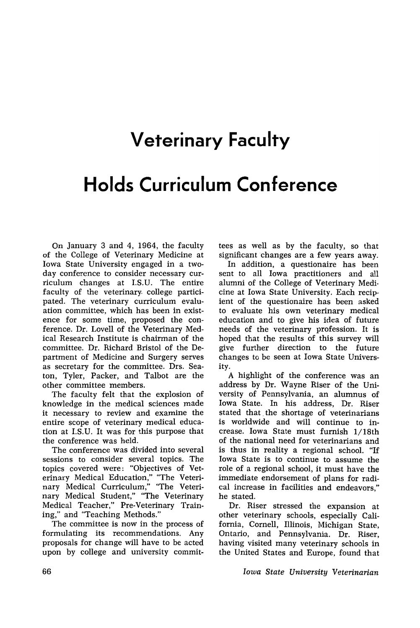## **Veterinary Faculty**

## **Holds Curriculum Conference**

On January 3 and 4, 1964, the faculty of the College of Veterinary Medicine at Iowa State University engaged in a twoday conference to consider necessary curriculum changes at I.S.U. The entire faculty of the veterinary. college participated. The veterinary curriculum evaluation committee, which has been in existence for some time, proposed the conference. Dr. Lovell of the Veterinary Medical Research Institute is chairman of the committee. Dr. Richard Bristol of the Department of Medicine and Surgery serves as secretary for the committee. Drs. Seaton, Tyler, Packer, and Talbot are the other committee members.

The faculty felt that the explosion of knowledge in the medical sciences made it necessary to review and examine the entire scope of veterinary medical education at 1.S.U. It was for this purpose that the conference was held.

The conference was divided into several sessions to consider several topics. The topics covered were: "Objectives of Veterinary Medical Education," "The Veterinary Medical Curriculum," "The Veterinary Medical Student," "The Veterinary Medical Teacher," Pre-Veterinary Training," and "Teaching Methods."

The committee is now in the process of formulating its recommendations. Any proposals for change will have to be acted upon by college and university committees as well as by the faculty, so that significant changes are a few years away.

In addition, a questionaire has been sent to all Iowa practitioners and all alumni of the College of Veterinary Medicine at Iowa State University. Each recipient of the questionaire has been asked to evaluate his own veterinary medical education and to give his idea of future needs of the veterinary profession. It is hoped that the results of this survey will give further direction to the future changes to be seen at Iowa State University.

A highlight of the conference was an address by Dr. Wayne Riser of the University of Pennsylvania, an alumnus of Iowa State. In his address, Dr. Riser stated that the shortage of veterinarians is worldwide and will continue to increase. Iowa State must furnish l/18th of the national need for veterinarians and is thus in reality a regional school. "If Iowa State is to continue to assume the role of a regional school, it must have the immediate endorsement of plans for radical increase in facilities and endeavors," he stated.

Dr. Riser stressed the expansion at other veterinary schools, especially California, Cornell, Illinois, Michigan State, Ontario, and Pennsylvania. Dr. Riser, having visited many veterinary schools in the United States and Europe, found that

*Iowa State University Veterinarian*